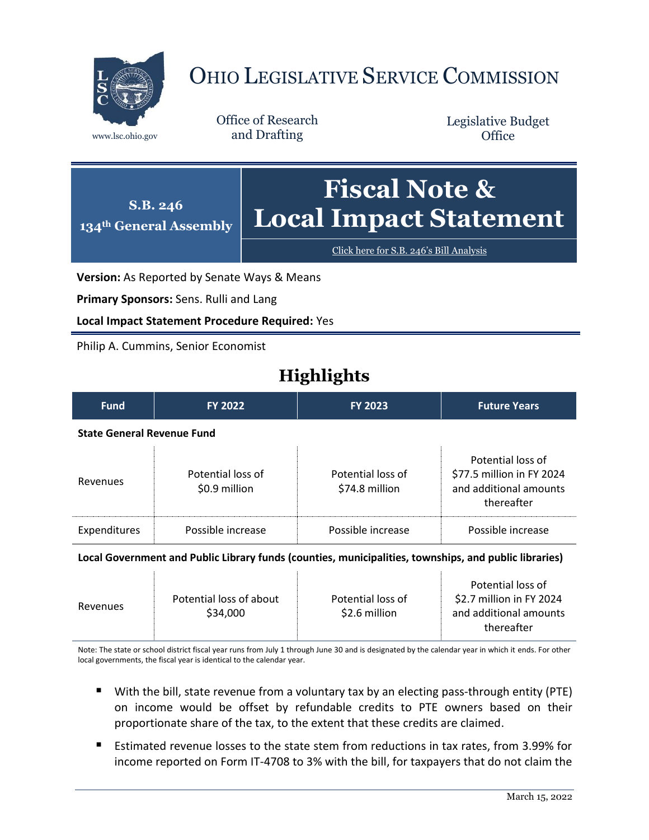

# OHIO LEGISLATIVE SERVICE COMMISSION

Office of Research www.lsc.ohio.gov and Drafting

Legislative Budget **Office** 



[Click here for S.B. 246](https://www.legislature.ohio.gov/legislation/legislation-documents?id=GA134-SB-246)'s Bill Analysis

**Version:** As Reported by Senate Ways & Means

**Primary Sponsors:** Sens. Rulli and Lang

**Local Impact Statement Procedure Required:** Yes

Philip A. Cummins, Senior Economist

## **Highlights**

| <b>Fund</b>                       | <b>FY 2022</b>                     | <b>FY 2023</b>                      | <b>Future Years</b>                                                                    |  |
|-----------------------------------|------------------------------------|-------------------------------------|----------------------------------------------------------------------------------------|--|
| <b>State General Revenue Fund</b> |                                    |                                     |                                                                                        |  |
| Revenues                          | Potential loss of<br>\$0.9 million | Potential loss of<br>\$74.8 million | Potential loss of<br>\$77.5 million in FY 2024<br>and additional amounts<br>thereafter |  |
| Expenditures                      | Possible increase                  | Possible increase                   | Possible increase                                                                      |  |

#### **Local Government and Public Library funds (counties, municipalities, townships, and public libraries)**

| Revenues | Potential loss of about<br>\$34,000 | Potential loss of<br>\$2.6 million | Potential loss of<br>\$2.7 million in FY 2024<br>and additional amounts<br>thereafter |
|----------|-------------------------------------|------------------------------------|---------------------------------------------------------------------------------------|
|          |                                     |                                    |                                                                                       |

Note: The state or school district fiscal year runs from July 1 through June 30 and is designated by the calendar year in which it ends. For other local governments, the fiscal year is identical to the calendar year.

- With the bill, state revenue from a voluntary tax by an electing pass-through entity (PTE) on income would be offset by refundable credits to PTE owners based on their proportionate share of the tax, to the extent that these credits are claimed.
- Estimated revenue losses to the state stem from reductions in tax rates, from 3.99% for income reported on Form IT-4708 to 3% with the bill, for taxpayers that do not claim the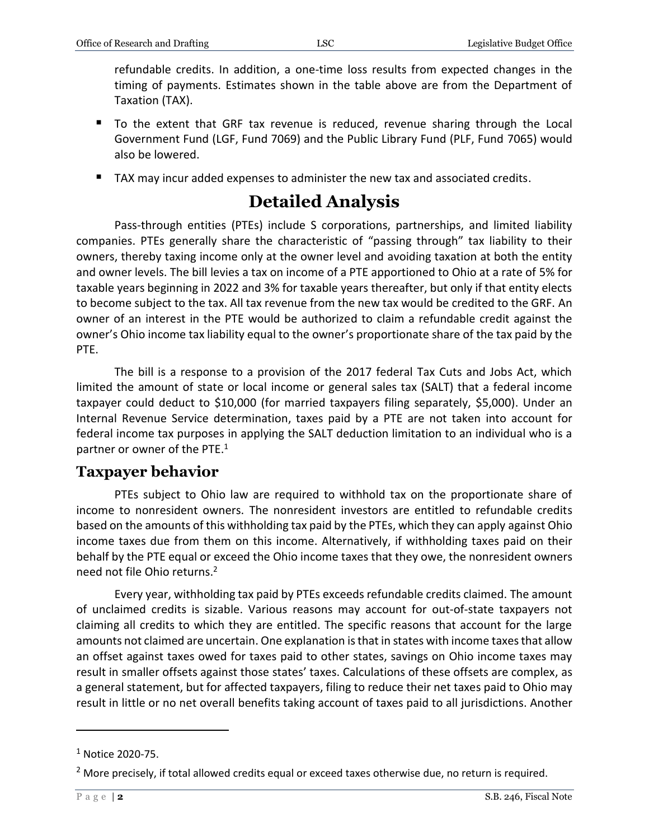refundable credits. In addition, a one-time loss results from expected changes in the timing of payments. Estimates shown in the table above are from the Department of Taxation (TAX).

- To the extent that GRF tax revenue is reduced, revenue sharing through the Local Government Fund (LGF, Fund 7069) and the Public Library Fund (PLF, Fund 7065) would also be lowered.
- TAX may incur added expenses to administer the new tax and associated credits.

## **Detailed Analysis**

Pass-through entities (PTEs) include S corporations, partnerships, and limited liability companies. PTEs generally share the characteristic of "passing through" tax liability to their owners, thereby taxing income only at the owner level and avoiding taxation at both the entity and owner levels. The bill levies a tax on income of a PTE apportioned to Ohio at a rate of 5% for taxable years beginning in 2022 and 3% for taxable years thereafter, but only if that entity elects to become subject to the tax. All tax revenue from the new tax would be credited to the GRF. An owner of an interest in the PTE would be authorized to claim a refundable credit against the owner's Ohio income tax liability equal to the owner's proportionate share of the tax paid by the PTE.

The bill is a response to a provision of the 2017 federal Tax Cuts and Jobs Act, which limited the amount of state or local income or general sales tax (SALT) that a federal income taxpayer could deduct to \$10,000 (for married taxpayers filing separately, \$5,000). Under an Internal Revenue Service determination, taxes paid by a PTE are not taken into account for federal income tax purposes in applying the SALT deduction limitation to an individual who is a partner or owner of the PTE.<sup>1</sup>

### **Taxpayer behavior**

PTEs subject to Ohio law are required to withhold tax on the proportionate share of income to nonresident owners. The nonresident investors are entitled to refundable credits based on the amounts of this withholding tax paid by the PTEs, which they can apply against Ohio income taxes due from them on this income. Alternatively, if withholding taxes paid on their behalf by the PTE equal or exceed the Ohio income taxes that they owe, the nonresident owners need not file Ohio returns. 2

Every year, withholding tax paid by PTEs exceeds refundable credits claimed. The amount of unclaimed credits is sizable. Various reasons may account for out-of-state taxpayers not claiming all credits to which they are entitled. The specific reasons that account for the large amounts not claimed are uncertain. One explanation is that in states with income taxes that allow an offset against taxes owed for taxes paid to other states, savings on Ohio income taxes may result in smaller offsets against those states' taxes. Calculations of these offsets are complex, as a general statement, but for affected taxpayers, filing to reduce their net taxes paid to Ohio may result in little or no net overall benefits taking account of taxes paid to all jurisdictions. Another

 $\overline{a}$ 

 $1$  Notice 2020-75.

 $<sup>2</sup>$  More precisely, if total allowed credits equal or exceed taxes otherwise due, no return is required.</sup>